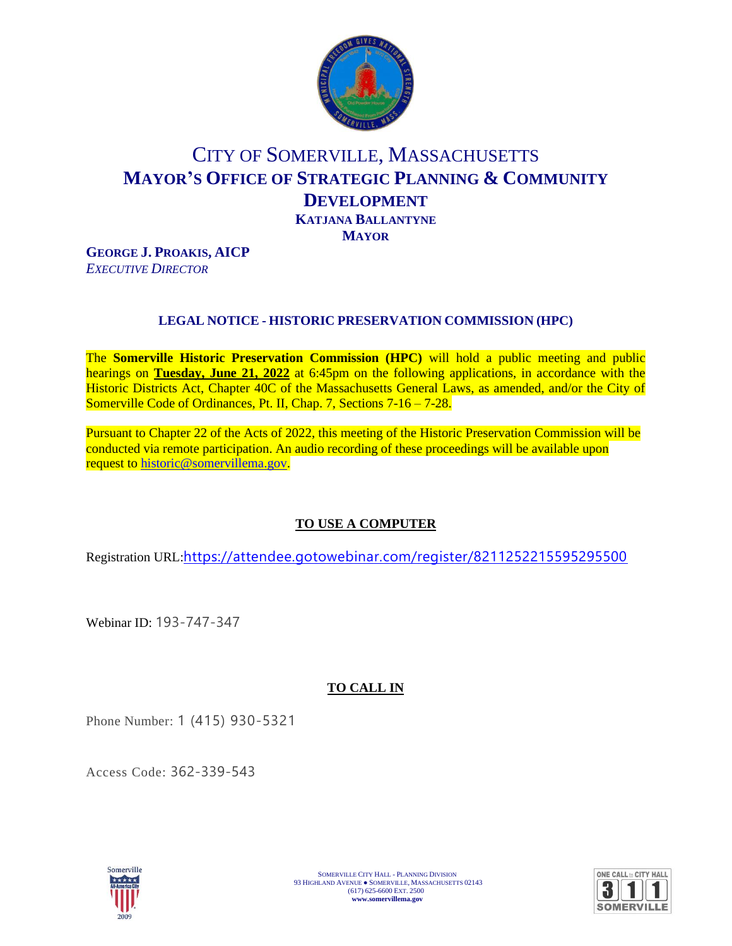

# CITY OF SOMERVILLE, MASSACHUSETTS **MAYOR'S OFFICE OF STRATEGIC PLANNING & COMMUNITY DEVELOPMENT KATJANA BALLANTYNE MAYOR**

**GEORGE J. PROAKIS, AICP** *EXECUTIVE DIRECTOR*

## **LEGAL NOTICE - HISTORIC PRESERVATION COMMISSION (HPC)**

The **Somerville Historic Preservation Commission (HPC)** will hold a public meeting and public hearings on **Tuesday, June 21, 2022** at 6:45pm on the following applications, in accordance with the Historic Districts Act, Chapter 40C of the Massachusetts General Laws, as amended, and/or the City of Somerville Code of Ordinances, Pt. II, Chap. 7, Sections 7-16 – 7-28.

Pursuant to Chapter 22 of the Acts of 2022, this meeting of the Historic Preservation Commission will be conducted via remote participation. An audio recording of these proceedings will be available upon request to [historic@somervillema.gov.](mailto:historic@somervillema.gov)

## **TO USE A COMPUTER**

Registration URL:<https://attendee.gotowebinar.com/register/8211252215595295500>

Webinar ID: 193-747-347

## **TO CALL IN**

Phone Number: 1 (415) 930-5321

Access Code: 362-339-543